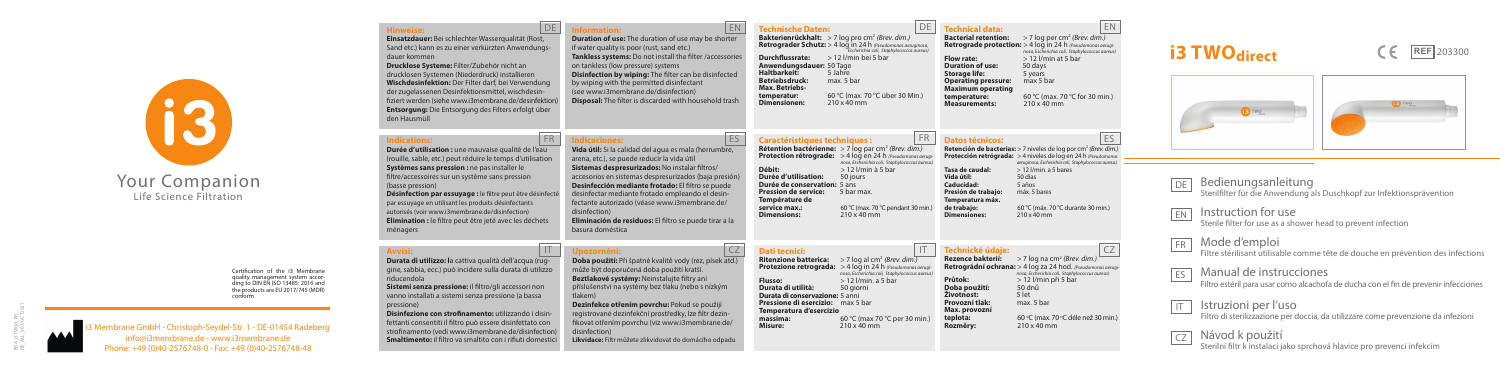mbrane GmbH - Christoph-Seydel-Str. 1 - DE-01454 Radeberg info@i3membrane.de - www.i3membrane.de Phone: +49 (0)40-2576748-0 - Fax: +49 (0)40-2576748-48

# Your Companion Life Science Filtration

#### Bedienungsanleitung Sterilfilter für die Anwendung als Duschkopf zur Infektionsprävention DE

IT



**Hinweise: Einsatzdauer:** Bei schlechter Wasserqualität (Rost, Sand etc.) kann es zu einer verkürzten Anwendungsdauer kommen

**Drucklose Systeme:** Filter/Zubehör nicht an drucklosen Systemen (Niederdruck) installieren **Wischdesinfektion:** Der Filter darf, bei Verwendung der zugelassenen Desinfektionsmittel, wischdesinfiziert werden (siehe www.i3membrane.de/desinfektion) **Entsorgung:** Die Entsorgung des Filters erfolgt über den Hausmüll

> EN Instruction for use

#### FR Mode d'emploi

Filtre stérilisant utilisable comme tête de douche en prévention des infections

ES Manual de instrucciones Filtro estéril para usar como alcachofa de ducha con el fin de prevenir infecciones

IT CZ

Certification of the i3 Membrane quality management system according to DIN EN ISO 13485: 2016 and the products are EU 2017/745 (MDR) conform

Sterile filter for use as a shower head to prevent infection

Istruzioni per l'uso Filtro di sterilizzazione per doccia, da utilizzare come prevenzione da infezioni

FR Indicaciones: ES **Indicaciones: Vida útil:** Si la calidad del agua es mala (herrumbre, arena, etc.), se puede reducir la vida útil **Sistemas despresurizados:** No instalar filtros/ accesorios en sistemas despresurizados (baja presión) **Desinfección mediante frotado:** El filtro se puede desinfectar mediante frotado empleando el desinfectante autorizado (véase www.i3membrane.de/ disinfection) **Eliminación de residuos:** El filtro se puede tirar a la basura doméstica

> Návod k použití Sterilní filtr k instalaci jako sprchová hlavice pro prevenci infekcím







**Information: Duration of use:** The duration of use may be shorter if water quality is poor (rust, sand etc.) **Tankless systems:** Do not install the filter /accessories on tankless (low pressure) systems **Disinfection by wiping:** The filter can be disinfected by wiping with the permitted disinfectant (see www.i3membrane.de/disinfection) **Disposal:** The filter is discarded with household trash

**Dezinfekce otřením povrchu:** Pokud se použijí registrované dezinfekční prostředky, lze filtr dezinfikovat otřením povrchu (viz www.i3membrane.de/

#### **Indications:**

**Bakterienrückhalt:** > 7 log pro cm2 *(Brev. dim.)* **Retrograder Schutz:** > 4 log in 24 h *(Pseudomonas aeruginosa,* **Durchflussrate:** > 12 l/min bei 5 bar **Anwendungsdauer:**  $50 \overline{\smash{\text{Page}}}$ <br> **Haltbarkeit:** 5 Jahre<br> **Betriebsdruck:** max. 5 bar **Max. Betriebstemperatur:** 60 °C (max. 7<br> **Dimensionen:** 210 x 40 mm **temperatur:** 60 °C (max. 70 °C über 30 Min.)<br>**Dimensionen:** 210 x 40 mm

#### **DE** Technical data: EN

#### **Bacterial retention:** > 7 log per cm<sup>2</sup> *(Brev. dim.)* **Retrograde protection:** > 4 log in 24 h *(Pseudomonas aerugi-* **France Procession**<br>*nosa, Escherichia coli, Staphylococcus aureus)*<br> $> 12$  //min at 5 bar **Figure 12 Line State: Figure 12 State 12 State 12 State 12 State 12 State 12 State 12 State 12 State 12 State 12 State 12 State 12 State 12 State 12 State 12 State 12 State 12 State 12 State 12 State 12 State 12 State 1 Storage life:** 5 years<br>**Operating pressure:** max 5 bar  $$ **temperature:** 60 °C (max. 7)<br> **Measurements:** 210 x 40 mm **temperature:** 60 °C (max. 70 °C for 30 min.)<br>**Measurements:** 210 x 40 mm

**Durée d'utilisation :** une mauvaise qualité de l'eau (rouille, sable, etc.) peut réduire le temps d'utilisation **Systèmes sans pression :** ne pas installer le filtre/accessoires sur un système sans pression (basse pression)

**Désinfection par essuyage :** le filtre peut être désinfecté par essuyage en utilisant les produits désinfectants autorisés (voir www.i3membrane.de/disinfection) **Elimination :** le filtre peut être jeté avec les déchets ménagers

**Rétention bactérienne:** > 7 log par cm2 *(Brev. dim.)* **Protection rétrograde:** > 4 log en 24 h *(Pseudomonas aer nosa, Escherichia coli, Staphylococcus aureus)* **Débit:** > 12 l/min à 5 bar **Durée d'utilisation: Durée de conservation:** 5 ans<br>**Pression de service:** 5 bar may **Pression de service: Température de service max.:** 60 °C (max. 70 °C pendant 30 min.) Dimensions:

#### **FR Datos técnicos: ES Retención de bacterias:** > 7 niveles de log por cm2 *(Brev. dim.)*

**Ritenzione batterica:** > 7 log al cm2 *(Brev. dim.)* **Protezione retrograda:** > 4 log in 24 h *(Pseudomonas aerugi nosa, Escherichia coli, Staphylococcus aureus)* **Flusso:**  $> 12$  l/min. a 5 bar<br>**Durata di utilità:** 50 giorni **massima: 60** °C (max 70 °C per 30 min.)<br>**Misure:** 210 x 40 mm

#### **Avvisi:**

**Durata di utilità: Durata di conservazione:** 5 anni **Pressione di esercizio:** max 5 bar **Temperatura d'esercizio**

**Durata di utilizzo: l**a cattiva qualità dell'acqua (ruggine, sabbia, ecc.) può incidere sulla durata di utilizzo riducendola

**Sistemi senza pressione:** il filtro/gli accessori non vanno installati a sistemi senza pressione (a bassa pressione)

**TECHNICKÉ údaje:**<br> **Rezence bakterií:** > 7 log na cm<sup>2</sup> *(Brev. dim.)* **Retrográdní ochrana:** > 4 log za 24 hod. *(Pseudomonas aerugi* nosa, Escherichia coli, Staphylococcus aureus)<br> **Průtok:**> 12 l/min nři 5 har **Průtok:** > 12 l/min při 5 bar **Doba použití:** 50 dnů **Životnost:** 5 let **Provozní tlak:** max. 5 bar **Max. provozní teplota:**<br>Rozměrv: 'C (max. 70 °C déle než 30 min.) **Rozměry:** 210 x 40 mm

**Disinfezione con strofinamento:** utilizzando i disinfettanti consentiti il filtro può essere disinfettato con strofinamento (vedi www.i3membrane.de/disinfection) **Smaltimento:** il filtro va smaltito con i rifiuti domestici

#### DE Information: EN

**Upozornění:**

**Doba použití:** Při špatné kvalitě vody (rez, písek atd.) může být doporučená doba použití kratší. **Beztlakové systémy:** Neinstalujte filtry ani příslušenství na systémy bez tlaku (nebo s nízkým

tlakem)

disinfection)

**Likvidace:** Filtr můžete zlikvidovat do domácího odpadu

#### **Technische Daten:**

**Caractéristiques techniques :**

**Protección retrógrada:** > 4 niveles de log en 24 h *(Pseudomonas aeruginosa, Escherichia coli, Staphylococcus aureus)* **Tasa de caudal:** > 12 l/min. a 5 bares **Vida útil:** 50 días<br>**Caducidad:** 5 años **Caducidad:** 5 años<br>**Presión de trabajo:** máx 5 bares **de trabajo:** 60 °C (máx. 70 °C durante 30 min.)

#### **Dati tecnici:**

**Misure:** 210 x 40 mm

**Presión de trabajo: Temperatura máx.**  Dimensiones<sup>\*</sup>

## **i3 TWO**direct